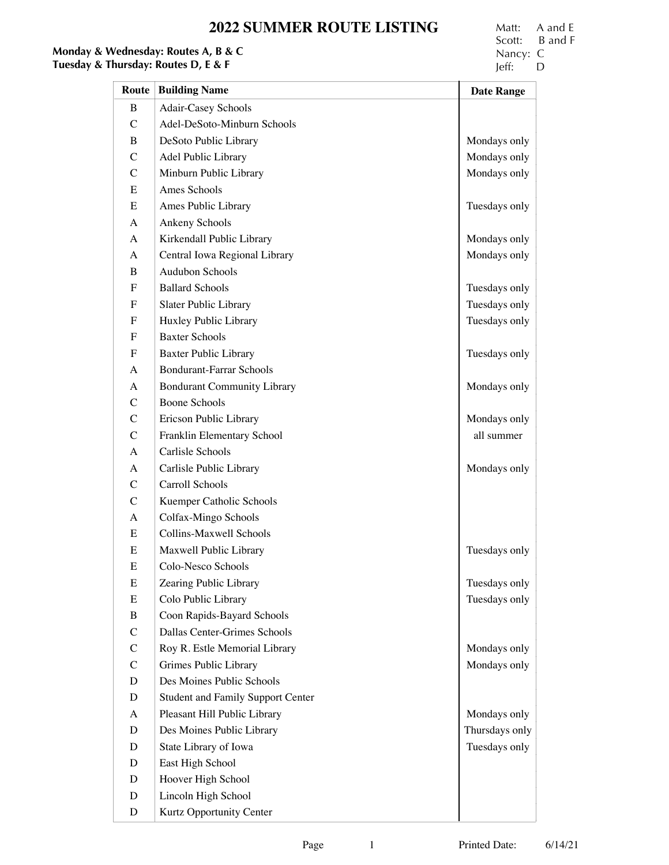# **2022 SUMMER ROUTE LISTING** Matt: A and E<br>Scott: B and F

# **Monday & Wednesday: Routes A, B & C**<br> **Tuesday & Thursday: Routes D, E & F**  $\qquad$  **Nancy: C** Jeff: D

Scott: B and F<br>Nancy: C

| Route          | <b>Building Name</b>                     | <b>Date Range</b> |
|----------------|------------------------------------------|-------------------|
| B              | Adair-Casey Schools                      |                   |
| $\mathcal{C}$  | Adel-DeSoto-Minburn Schools              |                   |
| B              | DeSoto Public Library                    | Mondays only      |
| $\mathcal{C}$  | Adel Public Library                      | Mondays only      |
| $\mathcal{C}$  | Minburn Public Library                   | Mondays only      |
| Ε              | Ames Schools                             |                   |
| Ε              | Ames Public Library                      | Tuesdays only     |
| A              | Ankeny Schools                           |                   |
| A              | Kirkendall Public Library                | Mondays only      |
| A              | Central Iowa Regional Library            | Mondays only      |
| B              | Audubon Schools                          |                   |
| ${\bf F}$      | <b>Ballard Schools</b>                   | Tuesdays only     |
| ${\bf F}$      | Slater Public Library                    | Tuesdays only     |
| ${\bf F}$      | Huxley Public Library                    | Tuesdays only     |
| $\mathbf F$    | <b>Baxter Schools</b>                    |                   |
| ${\bf F}$      | <b>Baxter Public Library</b>             | Tuesdays only     |
| A              | <b>Bondurant-Farrar Schools</b>          |                   |
| A              | <b>Bondurant Community Library</b>       | Mondays only      |
| $\mathcal{C}$  | <b>Boone Schools</b>                     |                   |
| $\mathcal{C}$  | Ericson Public Library                   | Mondays only      |
| $\mathcal{C}$  | Franklin Elementary School               | all summer        |
| $\mathbf{A}$   | Carlisle Schools                         |                   |
| A              | Carlisle Public Library                  | Mondays only      |
| $\mathcal{C}$  | Carroll Schools                          |                   |
| $\mathcal{C}$  | Kuemper Catholic Schools                 |                   |
| $\mathbf{A}$   | Colfax-Mingo Schools                     |                   |
| ${\bf E}$      | Collins-Maxwell Schools                  |                   |
| ${\bf E}$      | Maxwell Public Library                   | Tuesdays only     |
| E              | Colo-Nesco Schools                       |                   |
| ${\bf E}$      | Zearing Public Library                   | Tuesdays only     |
| ${\bf E}$      | Colo Public Library                      | Tuesdays only     |
| $\bf{B}$       | Coon Rapids-Bayard Schools               |                   |
| $\overline{C}$ | Dallas Center-Grimes Schools             |                   |
| $\mathcal{C}$  | Roy R. Estle Memorial Library            | Mondays only      |
| $\mathcal{C}$  | Grimes Public Library                    | Mondays only      |
| D              | Des Moines Public Schools                |                   |
| D              | <b>Student and Family Support Center</b> |                   |
| A              | Pleasant Hill Public Library             | Mondays only      |
| D              | Des Moines Public Library                | Thursdays only    |
| D              | State Library of Iowa                    | Tuesdays only     |
| D              | East High School                         |                   |
| D              | Hoover High School                       |                   |
| D              | Lincoln High School                      |                   |
| D              | Kurtz Opportunity Center                 |                   |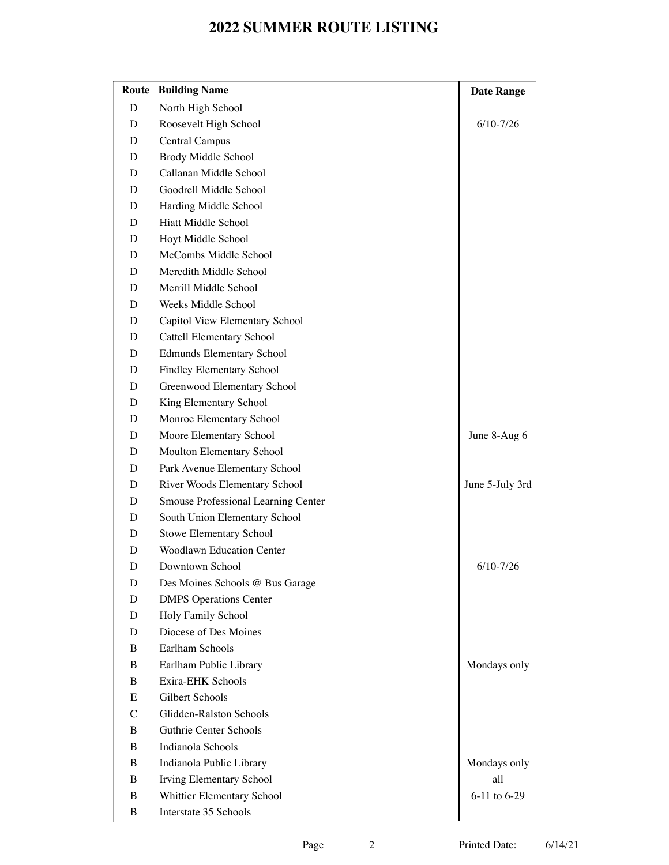| Route         | <b>Building Name</b>                | <b>Date Range</b> |
|---------------|-------------------------------------|-------------------|
| D             | North High School                   |                   |
| D             | Roosevelt High School               | $6/10 - 7/26$     |
| D             | <b>Central Campus</b>               |                   |
| D             | Brody Middle School                 |                   |
| D             | Callanan Middle School              |                   |
| D             | Goodrell Middle School              |                   |
| D             | Harding Middle School               |                   |
| D             | Hiatt Middle School                 |                   |
| D             | Hoyt Middle School                  |                   |
| D             | McCombs Middle School               |                   |
| D             | Meredith Middle School              |                   |
| D             | Merrill Middle School               |                   |
| D             | Weeks Middle School                 |                   |
| D             | Capitol View Elementary School      |                   |
| D             | Cattell Elementary School           |                   |
| D             | <b>Edmunds Elementary School</b>    |                   |
| D             | <b>Findley Elementary School</b>    |                   |
| D             | Greenwood Elementary School         |                   |
| D             | King Elementary School              |                   |
| D             | Monroe Elementary School            |                   |
| D             | Moore Elementary School             | June 8-Aug 6      |
| D             | Moulton Elementary School           |                   |
| D             | Park Avenue Elementary School       |                   |
| D             | River Woods Elementary School       | June 5-July 3rd   |
| D             | Smouse Professional Learning Center |                   |
| D             | South Union Elementary School       |                   |
| D             | Stowe Elementary School             |                   |
| D             | <b>Woodlawn Education Center</b>    |                   |
| D             | Downtown School                     | $6/10 - 7/26$     |
| D             | Des Moines Schools @ Bus Garage     |                   |
| D             | <b>DMPS</b> Operations Center       |                   |
| D             | Holy Family School                  |                   |
| D             | Diocese of Des Moines               |                   |
| B             | Earlham Schools                     |                   |
| B             | Earlham Public Library              | Mondays only      |
| B             | Exira-EHK Schools                   |                   |
| Ε             | Gilbert Schools                     |                   |
| $\mathcal{C}$ | Glidden-Ralston Schools             |                   |
| B             | Guthrie Center Schools              |                   |
| B             | Indianola Schools                   |                   |
| B             | Indianola Public Library            | Mondays only      |
| $\bf{B}$      | Irving Elementary School            | all               |
| $\bf{B}$      | Whittier Elementary School          | 6-11 to 6-29      |
| B             | Interstate 35 Schools               |                   |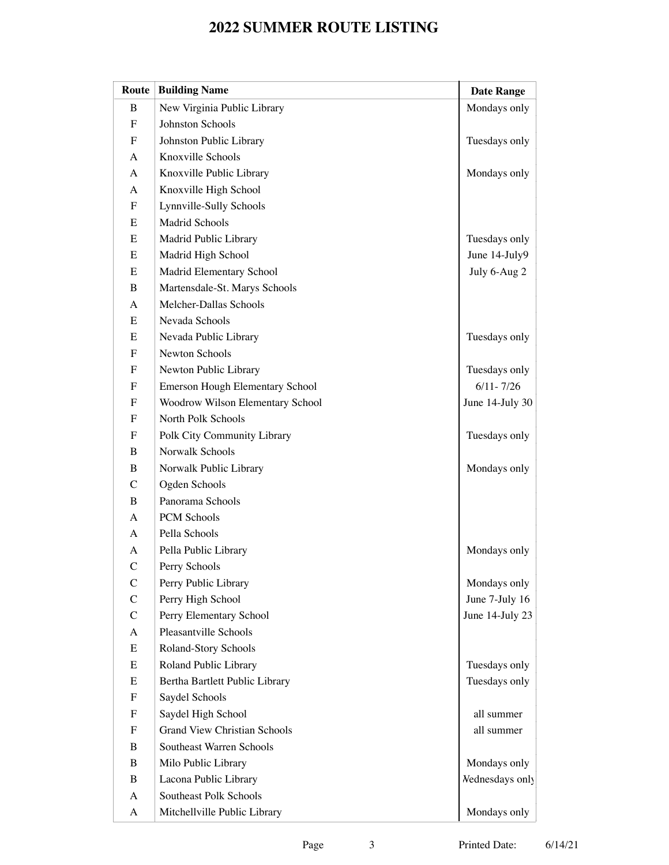| Route         | <b>Building Name</b>                   | <b>Date Range</b>      |
|---------------|----------------------------------------|------------------------|
| $\bf{B}$      | New Virginia Public Library            | Mondays only           |
| ${\bf F}$     | Johnston Schools                       |                        |
| ${\rm F}$     | Johnston Public Library                | Tuesdays only          |
| A             | Knoxville Schools                      |                        |
| A             | Knoxville Public Library               | Mondays only           |
| A             | Knoxville High School                  |                        |
| F             | Lynnville-Sully Schools                |                        |
| E             | <b>Madrid Schools</b>                  |                        |
| E             | Madrid Public Library                  | Tuesdays only          |
| E             | Madrid High School                     | June 14-July9          |
| E             | Madrid Elementary School               | July 6-Aug 2           |
| $\bf{B}$      | Martensdale-St. Marys Schools          |                        |
| A             | Melcher-Dallas Schools                 |                        |
| E             | Nevada Schools                         |                        |
| E             | Nevada Public Library                  | Tuesdays only          |
| ${\bf F}$     | Newton Schools                         |                        |
| F             | Newton Public Library                  | Tuesdays only          |
| ${\rm F}$     | <b>Emerson Hough Elementary School</b> | $6/11 - 7/26$          |
| F             | Woodrow Wilson Elementary School       | June 14-July 30        |
| ${\rm F}$     | North Polk Schools                     |                        |
| F             | Polk City Community Library            | Tuesdays only          |
| $\bf{B}$      | Norwalk Schools                        |                        |
| B             | Norwalk Public Library                 | Mondays only           |
| $\mathsf{C}$  | Ogden Schools                          |                        |
| $\bf{B}$      | Panorama Schools                       |                        |
| A             | PCM Schools                            |                        |
| A             | Pella Schools                          |                        |
| $\mathbf{A}$  | Pella Public Library                   | Mondays only           |
| $\mathsf{C}$  | Perry Schools                          |                        |
| $\mathcal{C}$ | Perry Public Library                   | Mondays only           |
| $\mathsf C$   | Perry High School                      | June 7-July 16         |
| $\mathsf{C}$  | Perry Elementary School                | June 14-July 23        |
| $\mathbf{A}$  | Pleasantville Schools                  |                        |
| E             | Roland-Story Schools                   |                        |
| E             | Roland Public Library                  | Tuesdays only          |
| E             | Bertha Bartlett Public Library         | Tuesdays only          |
| F             | Saydel Schools                         |                        |
| F             | Saydel High School                     | all summer             |
| $\mathbf F$   | <b>Grand View Christian Schools</b>    | all summer             |
| $\bf{B}$      | Southeast Warren Schools               |                        |
| $\bf{B}$      | Milo Public Library                    | Mondays only           |
| $\bf{B}$      | Lacona Public Library                  | <b>Nednesdays</b> only |
| $\mathbf{A}$  | Southeast Polk Schools                 |                        |
| A             | Mitchellville Public Library           | Mondays only           |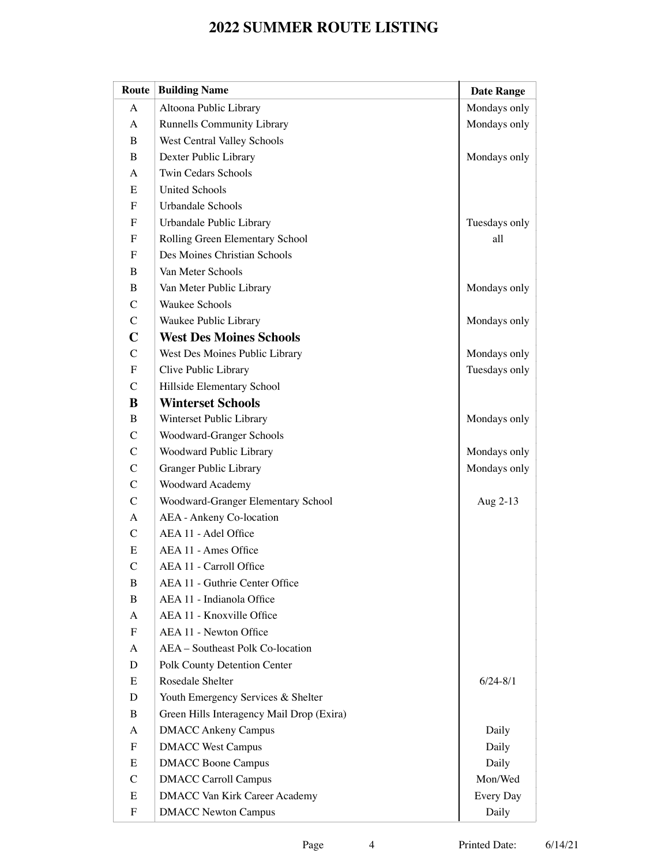| Route                     | <b>Building Name</b>                      | <b>Date Range</b> |
|---------------------------|-------------------------------------------|-------------------|
| A                         | Altoona Public Library                    | Mondays only      |
| $\mathbf{A}$              | <b>Runnells Community Library</b>         | Mondays only      |
| B                         | West Central Valley Schools               |                   |
| $\bf{B}$                  | Dexter Public Library                     | Mondays only      |
| A                         | <b>Twin Cedars Schools</b>                |                   |
| Ε                         | <b>United Schools</b>                     |                   |
| ${\rm F}$                 | Urbandale Schools                         |                   |
| ${\bf F}$                 | Urbandale Public Library                  | Tuesdays only     |
| $\boldsymbol{\mathrm{F}}$ | Rolling Green Elementary School           | all               |
| $\mathbf F$               | Des Moines Christian Schools              |                   |
| B                         | Van Meter Schools                         |                   |
| B                         | Van Meter Public Library                  | Mondays only      |
| $\mathsf{C}$              | <b>Waukee Schools</b>                     |                   |
| $\mathbf C$               | Waukee Public Library                     | Mondays only      |
| $\mathbf C$               | <b>West Des Moines Schools</b>            |                   |
| $\mathbf C$               | West Des Moines Public Library            | Mondays only      |
| $\boldsymbol{\mathrm{F}}$ | Clive Public Library                      | Tuesdays only     |
| $\mathbf C$               | Hillside Elementary School                |                   |
| B                         | <b>Winterset Schools</b>                  |                   |
| $\bf{B}$                  | Winterset Public Library                  | Mondays only      |
| $\mathsf{C}$              | Woodward-Granger Schools                  |                   |
| $\mathbf C$               | Woodward Public Library                   | Mondays only      |
| $\mathsf{C}$              | Granger Public Library                    | Mondays only      |
| $\mathbf C$               | Woodward Academy                          |                   |
| $\mathsf{C}$              | Woodward-Granger Elementary School        | Aug 2-13          |
| $\mathbf{A}$              | AEA - Ankeny Co-location                  |                   |
| $\mathsf{C}$              | AEA 11 - Adel Office                      |                   |
| ${\bf E}$                 | AEA 11 - Ames Office                      |                   |
| $\mathsf{C}$              | AEA 11 - Carroll Office                   |                   |
| B                         | AEA 11 - Guthrie Center Office            |                   |
| B                         | AEA 11 - Indianola Office                 |                   |
| A                         | AEA 11 - Knoxville Office                 |                   |
| F                         | AEA 11 - Newton Office                    |                   |
| A                         | AEA - Southeast Polk Co-location          |                   |
| D                         | Polk County Detention Center              |                   |
| Ε                         | Rosedale Shelter                          | $6/24 - 8/1$      |
| D                         | Youth Emergency Services & Shelter        |                   |
| B                         | Green Hills Interagency Mail Drop (Exira) |                   |
| A                         | <b>DMACC Ankeny Campus</b>                | Daily             |
| ${\bf F}$                 | <b>DMACC West Campus</b>                  | Daily             |
| E                         | <b>DMACC Boone Campus</b>                 | Daily             |
| $\mathcal{C}$             | <b>DMACC Carroll Campus</b>               | Mon/Wed           |
| ${\bf E}$                 | <b>DMACC Van Kirk Career Academy</b>      | Every Day         |
| ${\bf F}$                 | <b>DMACC Newton Campus</b>                | Daily             |